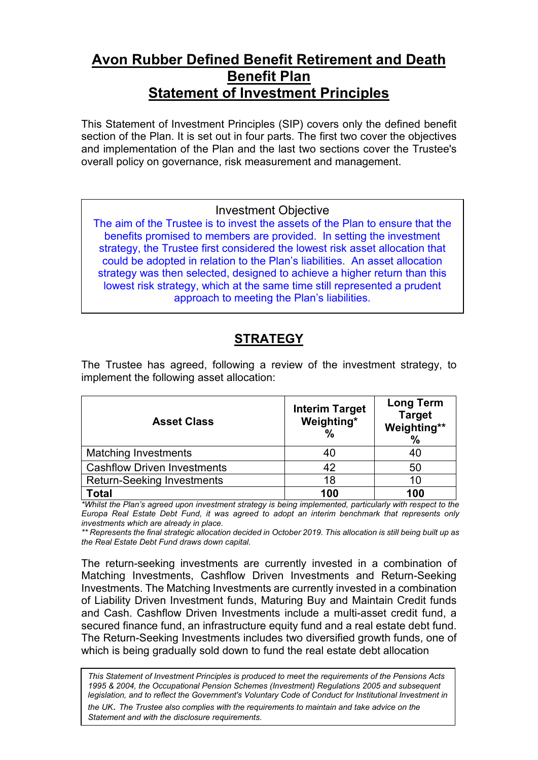# **Avon Rubber Defined Benefit Retirement and Death Benefit Plan Statement of Investment Principles**

This Statement of Investment Principles (SIP) covers only the defined benefit section of the Plan. It is set out in four parts. The first two cover the objectives and implementation of the Plan and the last two sections cover the Trustee's overall policy on governance, risk measurement and management.

#### Investment Objective

The aim of the Trustee is to invest the assets of the Plan to ensure that the benefits promised to members are provided. In setting the investment strategy, the Trustee first considered the lowest risk asset allocation that could be adopted in relation to the Plan's liabilities. An asset allocation strategy was then selected, designed to achieve a higher return than this lowest risk strategy, which at the same time still represented a prudent approach to meeting the Plan's liabilities.

# **STRATEGY**

| <b>Asset Class</b>                 | <b>Interim Target</b><br>Weighting*<br>% | <b>Long Term</b><br><b>Target</b><br>Weighting**<br>$\frac{0}{0}$ |
|------------------------------------|------------------------------------------|-------------------------------------------------------------------|
| <b>Matching Investments</b>        |                                          | 40                                                                |
| <b>Cashflow Driven Investments</b> | 42                                       | 50                                                                |
| <b>Return-Seeking Investments</b>  | 18                                       | 10                                                                |
| Total                              | 100                                      | 100                                                               |

The Trustee has agreed, following a review of the investment strategy, to implement the following asset allocation:

*\*Whilst the Plan's agreed upon investment strategy is being implemented, particularly with respect to the Europa Real Estate Debt Fund, it was agreed to adopt an interim benchmark that represents only investments which are already in place.*

*\*\* Represents the final strategic allocation decided in October 2019. This allocation is still being built up as the Real Estate Debt Fund draws down capital.*

The return-seeking investments are currently invested in a combination of Matching Investments, Cashflow Driven Investments and Return-Seeking Investments. The Matching Investments are currently invested in a combination of Liability Driven Investment funds, Maturing Buy and Maintain Credit funds and Cash. Cashflow Driven Investments include a multi-asset credit fund, a secured finance fund, an infrastructure equity fund and a real estate debt fund. The Return-Seeking Investments includes two diversified growth funds, one of which is being gradually sold down to fund the real estate debt allocation

*This Statement of Investment Principles is produced to meet the requirements of the Pensions Acts 1995 & 2004, the Occupational Pension Schemes (Investment) Regulations 2005 and subsequent legislation, and to reflect the Government's Voluntary Code of Conduct for Institutional Investment in the UK*. *The Trustee also complies with the requirements to maintain and take advice on the Statement and with the disclosure requirements.*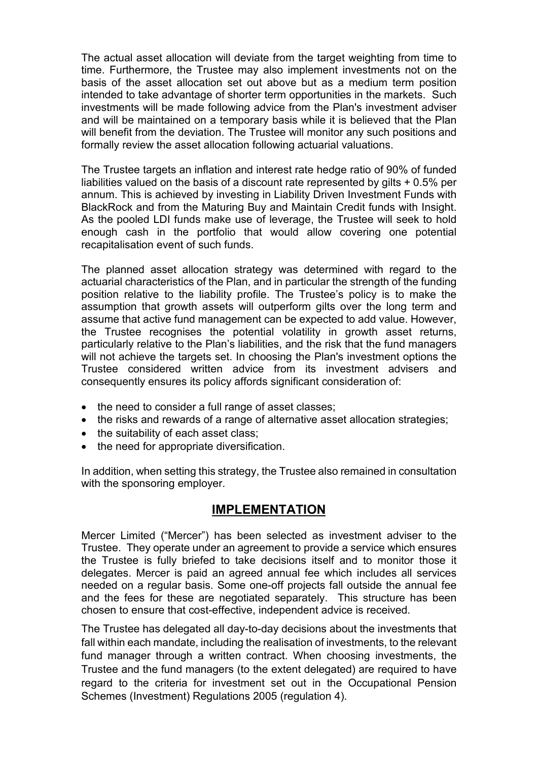The actual asset allocation will deviate from the target weighting from time to time. Furthermore, the Trustee may also implement investments not on the basis of the asset allocation set out above but as a medium term position intended to take advantage of shorter term opportunities in the markets. Such investments will be made following advice from the Plan's investment adviser and will be maintained on a temporary basis while it is believed that the Plan will benefit from the deviation. The Trustee will monitor any such positions and formally review the asset allocation following actuarial valuations.

The Trustee targets an inflation and interest rate hedge ratio of 90% of funded liabilities valued on the basis of a discount rate represented by gilts + 0.5% per annum. This is achieved by investing in Liability Driven Investment Funds with BlackRock and from the Maturing Buy and Maintain Credit funds with Insight. As the pooled LDI funds make use of leverage, the Trustee will seek to hold enough cash in the portfolio that would allow covering one potential recapitalisation event of such funds.

The planned asset allocation strategy was determined with regard to the actuarial characteristics of the Plan, and in particular the strength of the funding position relative to the liability profile. The Trustee's policy is to make the assumption that growth assets will outperform gilts over the long term and assume that active fund management can be expected to add value. However, the Trustee recognises the potential volatility in growth asset returns, particularly relative to the Plan's liabilities, and the risk that the fund managers will not achieve the targets set. In choosing the Plan's investment options the Trustee considered written advice from its investment advisers and consequently ensures its policy affords significant consideration of:

- the need to consider a full range of asset classes;
- the risks and rewards of a range of alternative asset allocation strategies;
- the suitability of each asset class:
- the need for appropriate diversification.

In addition, when setting this strategy, the Trustee also remained in consultation with the sponsoring employer.

## **IMPLEMENTATION**

Mercer Limited ("Mercer") has been selected as investment adviser to the Trustee. They operate under an agreement to provide a service which ensures the Trustee is fully briefed to take decisions itself and to monitor those it delegates. Mercer is paid an agreed annual fee which includes all services needed on a regular basis. Some one-off projects fall outside the annual fee and the fees for these are negotiated separately.This structure has been chosen to ensure that cost-effective, independent advice is received.

The Trustee has delegated all day-to-day decisions about the investments that fall within each mandate, including the realisation of investments, to the relevant fund manager through a written contract. When choosing investments, the Trustee and the fund managers (to the extent delegated) are required to have regard to the criteria for investment set out in the Occupational Pension Schemes (Investment) Regulations 2005 (regulation 4).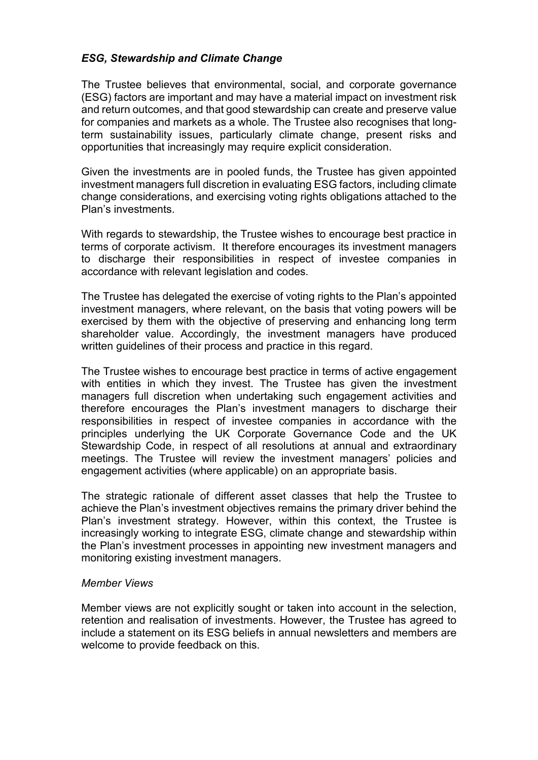#### *ESG, Stewardship and Climate Change*

The Trustee believes that environmental, social, and corporate governance (ESG) factors are important and may have a material impact on investment risk and return outcomes, and that good stewardship can create and preserve value for companies and markets as a whole. The Trustee also recognises that longterm sustainability issues, particularly climate change, present risks and opportunities that increasingly may require explicit consideration.

Given the investments are in pooled funds, the Trustee has given appointed investment managers full discretion in evaluating ESG factors, including climate change considerations, and exercising voting rights obligations attached to the Plan's investments.

With regards to stewardship, the Trustee wishes to encourage best practice in terms of corporate activism. It therefore encourages its investment managers to discharge their responsibilities in respect of investee companies in accordance with relevant legislation and codes.

The Trustee has delegated the exercise of voting rights to the Plan's appointed investment managers, where relevant, on the basis that voting powers will be exercised by them with the objective of preserving and enhancing long term shareholder value. Accordingly, the investment managers have produced written guidelines of their process and practice in this regard.

The Trustee wishes to encourage best practice in terms of active engagement with entities in which they invest. The Trustee has given the investment managers full discretion when undertaking such engagement activities and therefore encourages the Plan's investment managers to discharge their responsibilities in respect of investee companies in accordance with the principles underlying the UK Corporate Governance Code and the UK Stewardship Code, in respect of all resolutions at annual and extraordinary meetings. The Trustee will review the investment managers' policies and engagement activities (where applicable) on an appropriate basis.

The strategic rationale of different asset classes that help the Trustee to achieve the Plan's investment objectives remains the primary driver behind the Plan's investment strategy. However, within this context, the Trustee is increasingly working to integrate ESG, climate change and stewardship within the Plan's investment processes in appointing new investment managers and monitoring existing investment managers.

#### *Member Views*

Member views are not explicitly sought or taken into account in the selection, retention and realisation of investments. However, the Trustee has agreed to include a statement on its ESG beliefs in annual newsletters and members are welcome to provide feedback on this.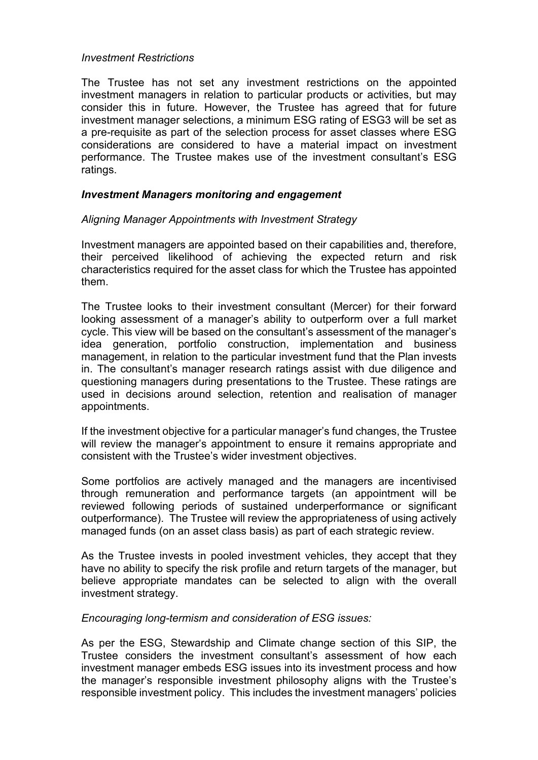#### *Investment Restrictions*

The Trustee has not set any investment restrictions on the appointed investment managers in relation to particular products or activities, but may consider this in future. However, the Trustee has agreed that for future investment manager selections, a minimum ESG rating of ESG3 will be set as a pre-requisite as part of the selection process for asset classes where ESG considerations are considered to have a material impact on investment performance. The Trustee makes use of the investment consultant's ESG ratings.

#### *Investment Managers monitoring and engagement*

#### *Aligning Manager Appointments with Investment Strategy*

Investment managers are appointed based on their capabilities and, therefore, their perceived likelihood of achieving the expected return and risk characteristics required for the asset class for which the Trustee has appointed them.

The Trustee looks to their investment consultant (Mercer) for their forward looking assessment of a manager's ability to outperform over a full market cycle. This view will be based on the consultant's assessment of the manager's idea generation, portfolio construction, implementation and business management, in relation to the particular investment fund that the Plan invests in. The consultant's manager research ratings assist with due diligence and questioning managers during presentations to the Trustee. These ratings are used in decisions around selection, retention and realisation of manager appointments.

If the investment objective for a particular manager's fund changes, the Trustee will review the manager's appointment to ensure it remains appropriate and consistent with the Trustee's wider investment objectives.

Some portfolios are actively managed and the managers are incentivised through remuneration and performance targets (an appointment will be reviewed following periods of sustained underperformance or significant outperformance). The Trustee will review the appropriateness of using actively managed funds (on an asset class basis) as part of each strategic review.

As the Trustee invests in pooled investment vehicles, they accept that they have no ability to specify the risk profile and return targets of the manager, but believe appropriate mandates can be selected to align with the overall investment strategy.

#### *Encouraging long-termism and consideration of ESG issues:*

As per the ESG, Stewardship and Climate change section of this SIP, the Trustee considers the investment consultant's assessment of how each investment manager embeds ESG issues into its investment process and how the manager's responsible investment philosophy aligns with the Trustee's responsible investment policy. This includes the investment managers' policies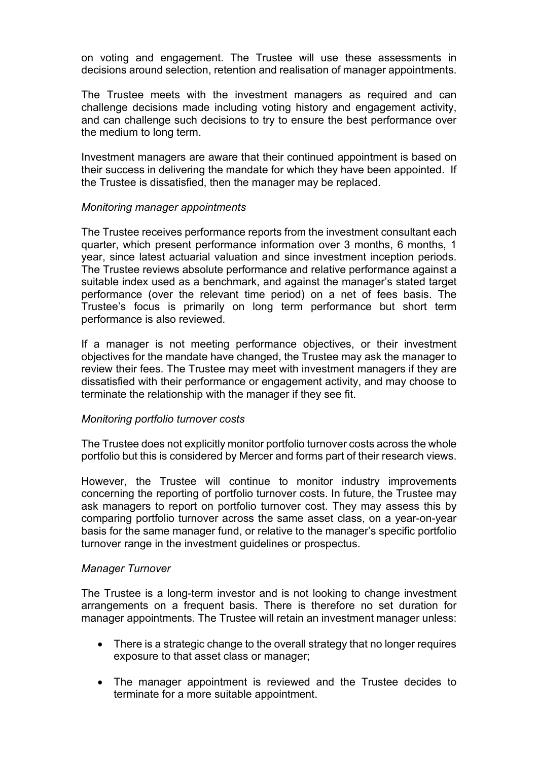on voting and engagement. The Trustee will use these assessments in decisions around selection, retention and realisation of manager appointments.

The Trustee meets with the investment managers as required and can challenge decisions made including voting history and engagement activity, and can challenge such decisions to try to ensure the best performance over the medium to long term.

Investment managers are aware that their continued appointment is based on their success in delivering the mandate for which they have been appointed. If the Trustee is dissatisfied, then the manager may be replaced.

#### *Monitoring manager appointments*

The Trustee receives performance reports from the investment consultant each quarter, which present performance information over 3 months, 6 months, 1 year, since latest actuarial valuation and since investment inception periods. The Trustee reviews absolute performance and relative performance against a suitable index used as a benchmark, and against the manager's stated target performance (over the relevant time period) on a net of fees basis. The Trustee's focus is primarily on long term performance but short term performance is also reviewed.

If a manager is not meeting performance objectives, or their investment objectives for the mandate have changed, the Trustee may ask the manager to review their fees. The Trustee may meet with investment managers if they are dissatisfied with their performance or engagement activity, and may choose to terminate the relationship with the manager if they see fit.

#### *Monitoring portfolio turnover costs*

The Trustee does not explicitly monitor portfolio turnover costs across the whole portfolio but this is considered by Mercer and forms part of their research views.

However, the Trustee will continue to monitor industry improvements concerning the reporting of portfolio turnover costs. In future, the Trustee may ask managers to report on portfolio turnover cost. They may assess this by comparing portfolio turnover across the same asset class, on a year-on-year basis for the same manager fund, or relative to the manager's specific portfolio turnover range in the investment guidelines or prospectus.

#### *Manager Turnover*

The Trustee is a long-term investor and is not looking to change investment arrangements on a frequent basis. There is therefore no set duration for manager appointments. The Trustee will retain an investment manager unless:

- There is a strategic change to the overall strategy that no longer requires exposure to that asset class or manager;
- The manager appointment is reviewed and the Trustee decides to terminate for a more suitable appointment.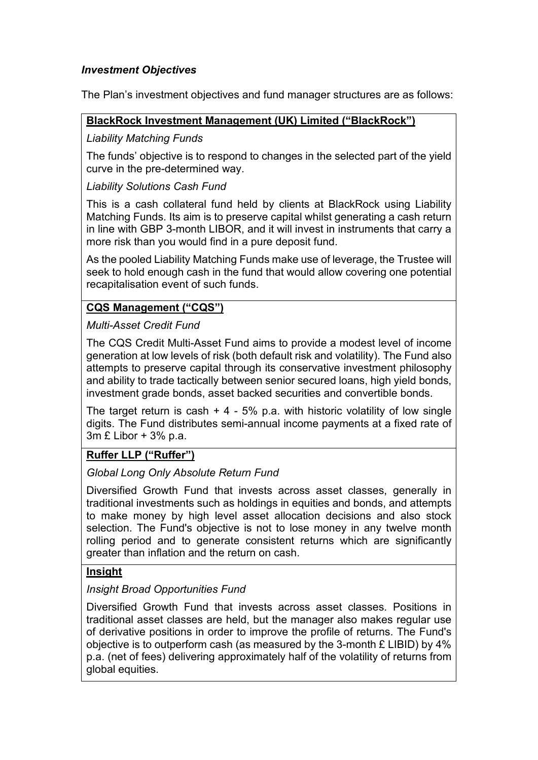## *Investment Objectives*

The Plan's investment objectives and fund manager structures are as follows:

#### **BlackRock Investment Management (UK) Limited ("BlackRock")**

### *Liability Matching Funds*

The funds' objective is to respond to changes in the selected part of the yield curve in the pre-determined way.

#### *Liability Solutions Cash Fund*

This is a cash collateral fund held by clients at BlackRock using Liability Matching Funds. Its aim is to preserve capital whilst generating a cash return in line with GBP 3-month LIBOR, and it will invest in instruments that carry a more risk than you would find in a pure deposit fund.

As the pooled Liability Matching Funds make use of leverage, the Trustee will seek to hold enough cash in the fund that would allow covering one potential recapitalisation event of such funds.

## **CQS Management ("CQS")**

## *Multi-Asset Credit Fund*

The CQS Credit Multi-Asset Fund aims to provide a modest level of income generation at low levels of risk (both default risk and volatility). The Fund also attempts to preserve capital through its conservative investment philosophy and ability to trade tactically between senior secured loans, high yield bonds, investment grade bonds, asset backed securities and convertible bonds.

The target return is cash  $+ 4 - 5\%$  p.a. with historic volatility of low single digits. The Fund distributes semi-annual income payments at a fixed rate of 3m £ Libor + 3% p.a.

## **Ruffer LLP ("Ruffer")**

## *Global Long Only Absolute Return Fund*

Diversified Growth Fund that invests across asset classes, generally in traditional investments such as holdings in equities and bonds, and attempts to make money by high level asset allocation decisions and also stock selection. The Fund's objective is not to lose money in any twelve month rolling period and to generate consistent returns which are significantly greater than inflation and the return on cash.

## **Insight**

## *Insight Broad Opportunities Fund*

Diversified Growth Fund that invests across asset classes. Positions in traditional asset classes are held, but the manager also makes regular use of derivative positions in order to improve the profile of returns. The Fund's objective is to outperform cash (as measured by the 3-month £ LIBID) by 4% p.a. (net of fees) delivering approximately half of the volatility of returns from global equities.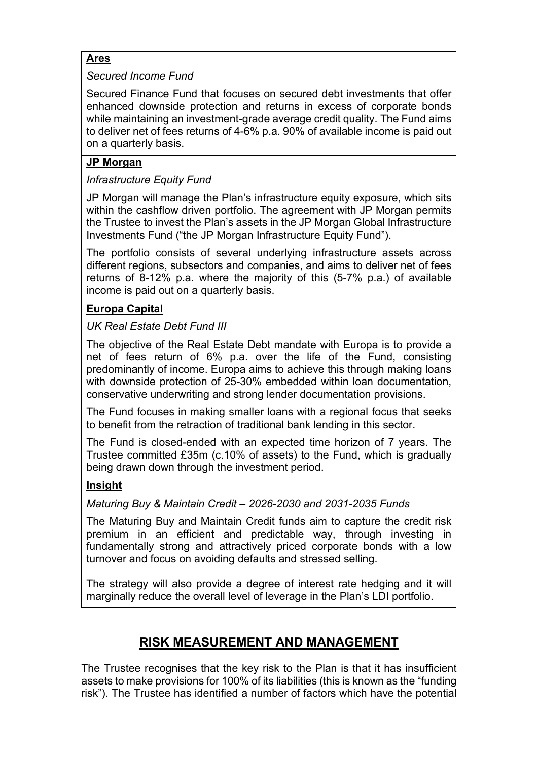## **Ares**

## *Secured Income Fund*

Secured Finance Fund that focuses on secured debt investments that offer enhanced downside protection and returns in excess of corporate bonds while maintaining an investment-grade average credit quality. The Fund aims to deliver net of fees returns of 4-6% p.a. 90% of available income is paid out on a quarterly basis.

## **JP Morgan**

## *Infrastructure Equity Fund*

JP Morgan will manage the Plan's infrastructure equity exposure, which sits within the cashflow driven portfolio. The agreement with JP Morgan permits the Trustee to invest the Plan's assets in the JP Morgan Global Infrastructure Investments Fund ("the JP Morgan Infrastructure Equity Fund").

The portfolio consists of several underlying infrastructure assets across different regions, subsectors and companies, and aims to deliver net of fees returns of 8-12% p.a. where the majority of this (5-7% p.a.) of available income is paid out on a quarterly basis.

## **Europa Capital**

## *UK Real Estate Debt Fund III*

The objective of the Real Estate Debt mandate with Europa is to provide a net of fees return of 6% p.a. over the life of the Fund, consisting predominantly of income. Europa aims to achieve this through making loans with downside protection of 25-30% embedded within loan documentation, conservative underwriting and strong lender documentation provisions.

The Fund focuses in making smaller loans with a regional focus that seeks to benefit from the retraction of traditional bank lending in this sector.

The Fund is closed-ended with an expected time horizon of 7 years. The Trustee committed £35m (c.10% of assets) to the Fund, which is gradually being drawn down through the investment period.

## **Insight**

*Maturing Buy & Maintain Credit – 2026-2030 and 2031-2035 Funds*

The Maturing Buy and Maintain Credit funds aim to capture the credit risk premium in an efficient and predictable way, through investing in fundamentally strong and attractively priced corporate bonds with a low turnover and focus on avoiding defaults and stressed selling.

The strategy will also provide a degree of interest rate hedging and it will marginally reduce the overall level of leverage in the Plan's LDI portfolio.

# **RISK MEASUREMENT AND MANAGEMENT**

The Trustee recognises that the key risk to the Plan is that it has insufficient assets to make provisions for 100% of its liabilities (this is known as the "funding risk"). The Trustee has identified a number of factors which have the potential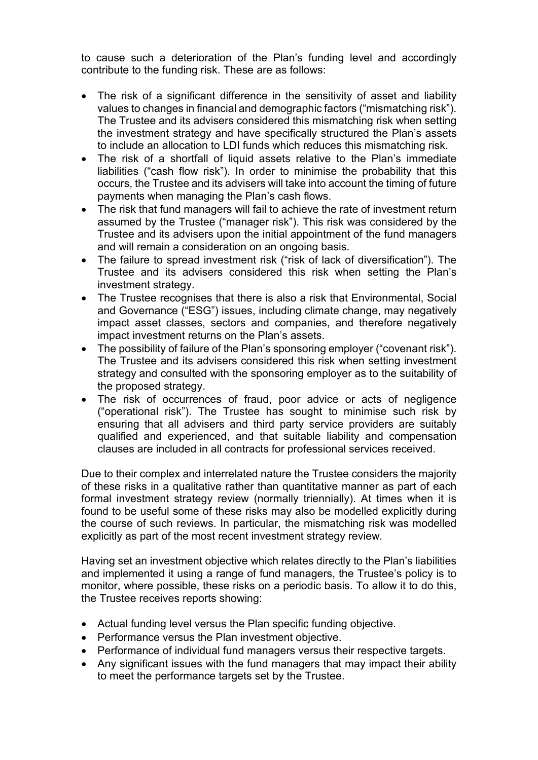to cause such a deterioration of the Plan's funding level and accordingly contribute to the funding risk. These are as follows:

- The risk of a significant difference in the sensitivity of asset and liability values to changes in financial and demographic factors ("mismatching risk"). The Trustee and its advisers considered this mismatching risk when setting the investment strategy and have specifically structured the Plan's assets to include an allocation to LDI funds which reduces this mismatching risk.
- The risk of a shortfall of liquid assets relative to the Plan's immediate liabilities ("cash flow risk"). In order to minimise the probability that this occurs, the Trustee and its advisers will take into account the timing of future payments when managing the Plan's cash flows.
- The risk that fund managers will fail to achieve the rate of investment return assumed by the Trustee ("manager risk"). This risk was considered by the Trustee and its advisers upon the initial appointment of the fund managers and will remain a consideration on an ongoing basis.
- The failure to spread investment risk ("risk of lack of diversification"). The Trustee and its advisers considered this risk when setting the Plan's investment strategy.
- The Trustee recognises that there is also a risk that Environmental, Social and Governance ("ESG") issues, including climate change, may negatively impact asset classes, sectors and companies, and therefore negatively impact investment returns on the Plan's assets.
- The possibility of failure of the Plan's sponsoring employer ("covenant risk"). The Trustee and its advisers considered this risk when setting investment strategy and consulted with the sponsoring employer as to the suitability of the proposed strategy.
- The risk of occurrences of fraud, poor advice or acts of negligence ("operational risk"). The Trustee has sought to minimise such risk by ensuring that all advisers and third party service providers are suitably qualified and experienced, and that suitable liability and compensation clauses are included in all contracts for professional services received.

Due to their complex and interrelated nature the Trustee considers the majority of these risks in a qualitative rather than quantitative manner as part of each formal investment strategy review (normally triennially). At times when it is found to be useful some of these risks may also be modelled explicitly during the course of such reviews. In particular, the mismatching risk was modelled explicitly as part of the most recent investment strategy review*.*

Having set an investment objective which relates directly to the Plan's liabilities and implemented it using a range of fund managers, the Trustee's policy is to monitor, where possible, these risks on a periodic basis. To allow it to do this, the Trustee receives reports showing:

- Actual funding level versus the Plan specific funding objective.
- Performance versus the Plan investment objective.
- Performance of individual fund managers versus their respective targets.
- Any significant issues with the fund managers that may impact their ability to meet the performance targets set by the Trustee.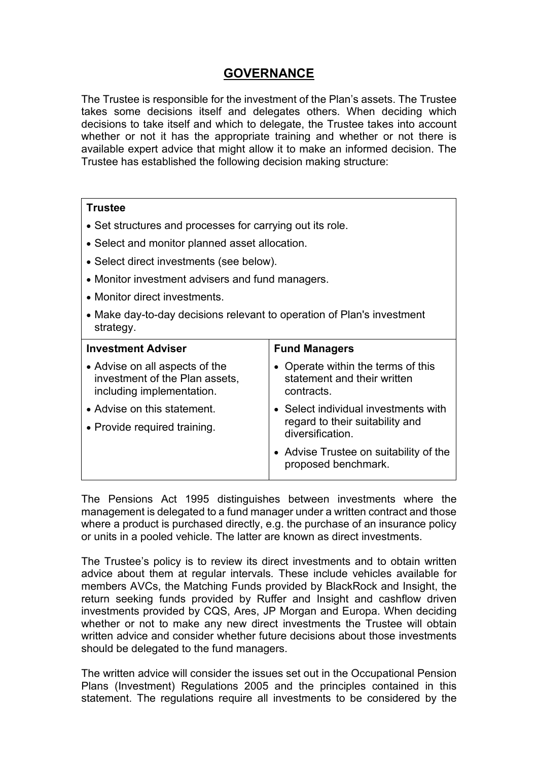## **GOVERNANCE**

The Trustee is responsible for the investment of the Plan's assets. The Trustee takes some decisions itself and delegates others. When deciding which decisions to take itself and which to delegate, the Trustee takes into account whether or not it has the appropriate training and whether or not there is available expert advice that might allow it to make an informed decision. The Trustee has established the following decision making structure:

#### **Trustee**

- Set structures and processes for carrying out its role.
- Select and monitor planned asset allocation.
- Select direct investments (see below).
- Monitor investment advisers and fund managers.
- Monitor direct investments.
- Make day-to-day decisions relevant to operation of Plan's investment strategy.

| <b>Investment Adviser</b>                                                                     | <b>Fund Managers</b>                                                                        |
|-----------------------------------------------------------------------------------------------|---------------------------------------------------------------------------------------------|
| • Advise on all aspects of the<br>investment of the Plan assets,<br>including implementation. | • Operate within the terms of this<br>statement and their written<br>contracts.             |
| • Advise on this statement.<br>• Provide required training.                                   | • Select individual investments with<br>regard to their suitability and<br>diversification. |
|                                                                                               | • Advise Trustee on suitability of the<br>proposed benchmark.                               |

The Pensions Act 1995 distinguishes between investments where the management is delegated to a fund manager under a written contract and those where a product is purchased directly, e.g. the purchase of an insurance policy or units in a pooled vehicle. The latter are known as direct investments.

The Trustee's policy is to review its direct investments and to obtain written advice about them at regular intervals*.* These include vehicles available for members AVCs, the Matching Funds provided by BlackRock and Insight, the return seeking funds provided by Ruffer and Insight and cashflow driven investments provided by CQS, Ares, JP Morgan and Europa. When deciding whether or not to make any new direct investments the Trustee will obtain written advice and consider whether future decisions about those investments should be delegated to the fund managers.

The written advice will consider the issues set out in the Occupational Pension Plans (Investment) Regulations 2005 and the principles contained in this statement. The regulations require all investments to be considered by the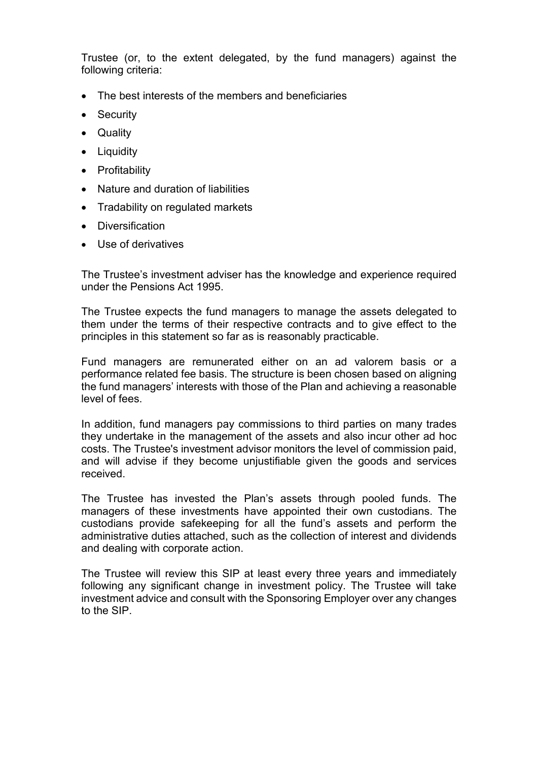Trustee (or, to the extent delegated, by the fund managers) against the following criteria:

- The best interests of the members and beneficiaries
- **Security**
- Quality
- Liquidity
- Profitability
- Nature and duration of liabilities
- Tradability on regulated markets
- Diversification
- Use of derivatives

The Trustee's investment adviser has the knowledge and experience required under the Pensions Act 1995.

The Trustee expects the fund managers to manage the assets delegated to them under the terms of their respective contracts and to give effect to the principles in this statement so far as is reasonably practicable.

Fund managers are remunerated either on an ad valorem basis or a performance related fee basis. The structure is been chosen based on aligning the fund managers' interests with those of the Plan and achieving a reasonable level of fees.

In addition, fund managers pay commissions to third parties on many trades they undertake in the management of the assets and also incur other ad hoc costs. The Trustee's investment advisor monitors the level of commission paid, and will advise if they become unjustifiable given the goods and services received.

The Trustee has invested the Plan's assets through pooled funds. The managers of these investments have appointed their own custodians. The custodians provide safekeeping for all the fund's assets and perform the administrative duties attached, such as the collection of interest and dividends and dealing with corporate action.

The Trustee will review this SIP at least every three years and immediately following any significant change in investment policy. The Trustee will take investment advice and consult with the Sponsoring Employer over any changes to the SIP.